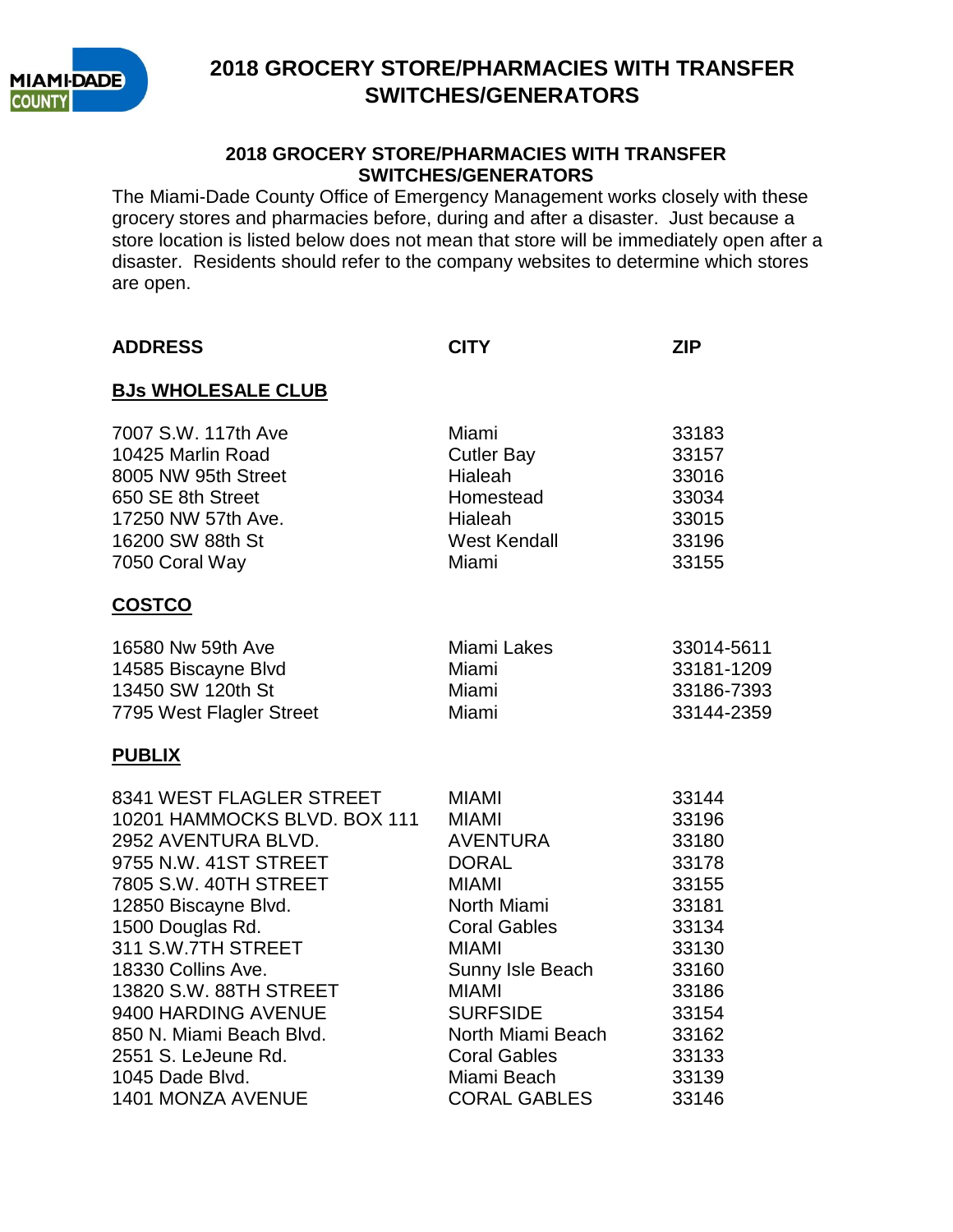

#### **2018 GROCERY STORE/PHARMACIES WITH TRANSFER SWITCHES/GENERATORS**

The Miami-Dade County Office of Emergency Management works closely with these grocery stores and pharmacies before, during and after a disaster. Just because a store location is listed below does not mean that store will be immediately open after a disaster. Residents should refer to the company websites to determine which stores are open.

| <b>ADDRESS</b>                                                                                                                                                                                                                                                                                                                                   | <b>CITY</b>                                                                                                                                                                                                                                      | <b>ZIP</b>                                                                                                                 |
|--------------------------------------------------------------------------------------------------------------------------------------------------------------------------------------------------------------------------------------------------------------------------------------------------------------------------------------------------|--------------------------------------------------------------------------------------------------------------------------------------------------------------------------------------------------------------------------------------------------|----------------------------------------------------------------------------------------------------------------------------|
| <b>BJs WHOLESALE CLUB</b>                                                                                                                                                                                                                                                                                                                        |                                                                                                                                                                                                                                                  |                                                                                                                            |
| 7007 S.W. 117th Ave<br>10425 Marlin Road<br>8005 NW 95th Street<br>650 SE 8th Street<br>17250 NW 57th Ave.<br>16200 SW 88th St<br>7050 Coral Way                                                                                                                                                                                                 | Miami<br><b>Cutler Bay</b><br>Hialeah<br>Homestead<br>Hialeah<br>West Kendall<br>Miami                                                                                                                                                           | 33183<br>33157<br>33016<br>33034<br>33015<br>33196<br>33155                                                                |
| <b>COSTCO</b>                                                                                                                                                                                                                                                                                                                                    |                                                                                                                                                                                                                                                  |                                                                                                                            |
| 16580 Nw 59th Ave<br>14585 Biscayne Blvd<br>13450 SW 120th St<br>7795 West Flagler Street                                                                                                                                                                                                                                                        | Miami Lakes<br>Miami<br>Miami<br>Miami                                                                                                                                                                                                           | 33014-5611<br>33181-1209<br>33186-7393<br>33144-2359                                                                       |
| <b>PUBLIX</b>                                                                                                                                                                                                                                                                                                                                    |                                                                                                                                                                                                                                                  |                                                                                                                            |
| 8341 WEST FLAGLER STREET<br>10201 HAMMOCKS BLVD, BOX 111<br>2952 AVENTURA BLVD.<br>9755 N.W. 41ST STREET<br>7805 S.W. 40TH STREET<br>12850 Biscayne Blvd.<br>1500 Douglas Rd.<br>311 S.W.7TH STREET<br>18330 Collins Ave.<br>13820 S.W. 88TH STREET<br>9400 HARDING AVENUE<br>850 N. Miami Beach Blvd.<br>2551 S. LeJeune Rd.<br>1045 Dade Blvd. | <b>MIAMI</b><br><b>MIAMI</b><br>AVENTURA<br><b>DORAL</b><br><b>MIAMI</b><br>North Miami<br><b>Coral Gables</b><br><b>MIAMI</b><br>Sunny Isle Beach<br><b>MIAMI</b><br><b>SURFSIDE</b><br>North Miami Beach<br><b>Coral Gables</b><br>Miami Beach | 33144<br>33196<br>33180<br>33178<br>33155<br>33181<br>33134<br>33130<br>33160<br>33186<br>33154<br>33162<br>33133<br>33139 |
| 1401 MONZA AVENUE                                                                                                                                                                                                                                                                                                                                | <b>CORAL GABLES</b>                                                                                                                                                                                                                              | 33146                                                                                                                      |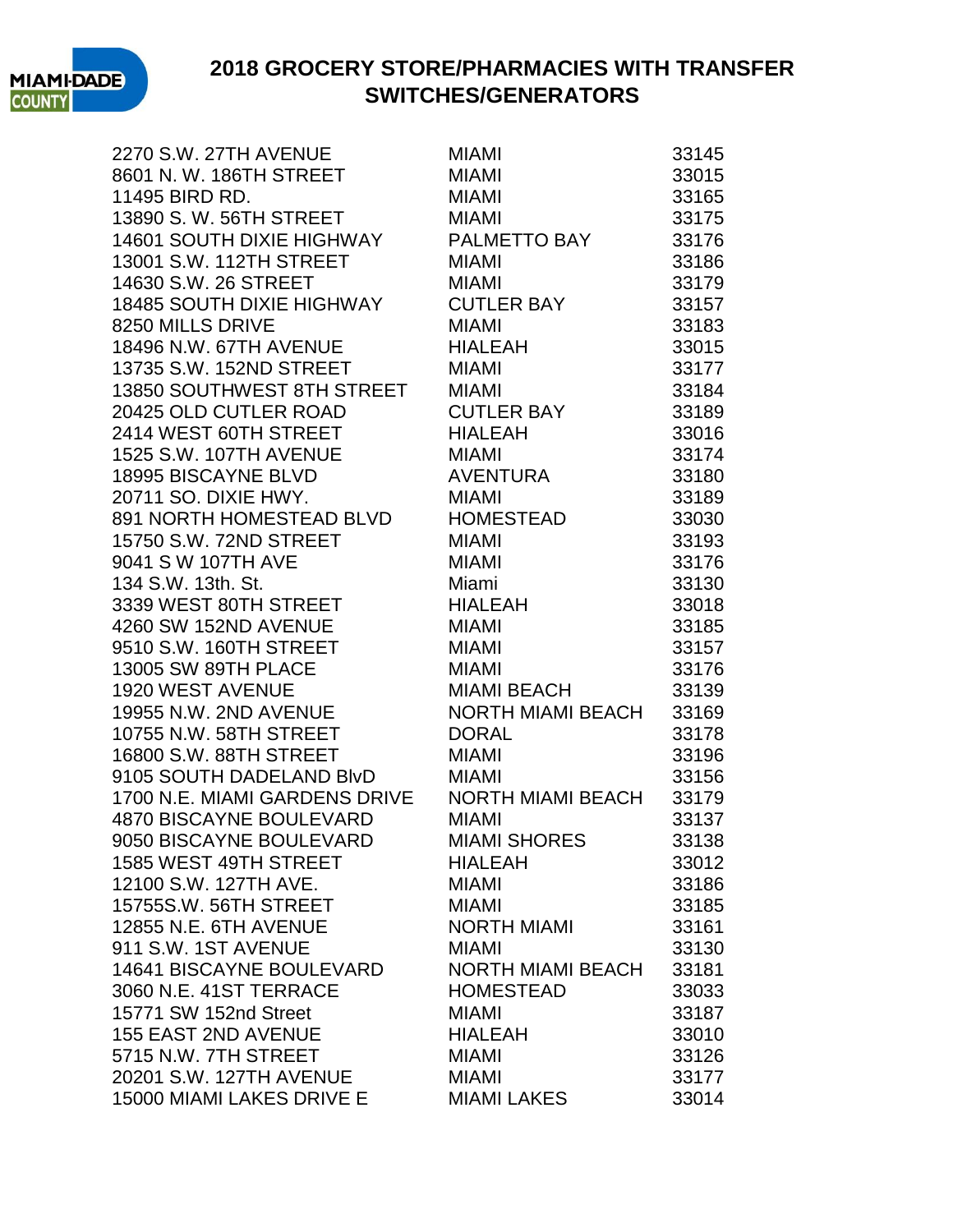

2270 S.W. 27TH AVENUE MIAMI MIAMI 33145 8601 N.W. 186TH STREET MIAMI 33015 11495 BIRD RD. MIAMI 33165 13890 S. W. 56TH STREET MIAMI 33175 14601 SOUTH DIXIE HIGHWAY PALMETTO BAY 33176 13001 S.W. 112TH STREET MIAMI 33186 14630 S.W. 26 STREET MIAMI 33179 18485 SOUTH DIXIE HIGHWAY CUTLER BAY 33157 8250 MILLS DRIVE MIAMI 8250 MILLS NORIVE 18496 N.W. 67TH AVENUE HIALEAH 33015 13735 S.W. 152ND STREET MIAMI 33177 13850 SOUTHWEST 8TH STREET MIAMI 33184 20425 OLD CUTLER ROAD CUTLER BAY 33189 2414 WEST 60TH STREET HIALEAH 33016 1525 S.W. 107TH AVENUE MIAMI MIAMI 33174 18995 BISCAYNE BLVD AVENTURA 33180 20711 SO. DIXIE HWY. MIAMI 33189 891 NORTH HOMESTEAD BLVD HOMESTEAD 33030 15750 S.W. 72ND STREET MIAMI 33193 9041 S W 107TH AVE MIAMI MIAMI 33176 134 S.W. 13th. St. Miami 33130 3339 WEST 80TH STREET HIALEAH 33018 4260 SW 152ND AVENUE MIAMI 33185 9510 S.W. 160TH STREET MIAMI 33157 13005 SW 89TH PLACE MIAMI 33176 1920 WEST AVENUE MIAMI BEACH 33139 19955 N.W. 2ND AVENUE NORTH MIAMI BEACH 33169 10755 N.W. 58TH STREET DORAL 33178 16800 S.W. 88TH STREET MIAMI 33196 9105 SOUTH DADELAND BIvD MIAMI 83156 1700 N.E. MIAMI GARDENS DRIVE NORTH MIAMI BEACH 33179 4870 BISCAYNE BOULEVARD MIAMI 33137 9050 BISCAYNE BOULEVARD MIAMI SHORES 33138 1585 WEST 49TH STREET HIALEAH 33012 12100 S.W. 127TH AVE. MIAMI 33186 15755S.W. 56TH STREET MIAMI 33185 12855 N.E. 6TH AVENUE NORTH MIAMI 33161 911 S.W. 1ST AVENUE MIAMI MIAMI 33130 14641 BISCAYNE BOULEVARD NORTH MIAMI BEACH 33181 3060 N.E. 41ST TERRACE HOMESTEAD 33033 15771 SW 152nd Street MIAMI 33187 155 EAST 2ND AVENUE HIALEAH 33010 5715 N.W. 7TH STREET MIAMI 33126 20201 S.W. 127TH AVENUE MIAMI 33177 15000 MIAMI LAKES DRIVE E MIAMI LAKES 33014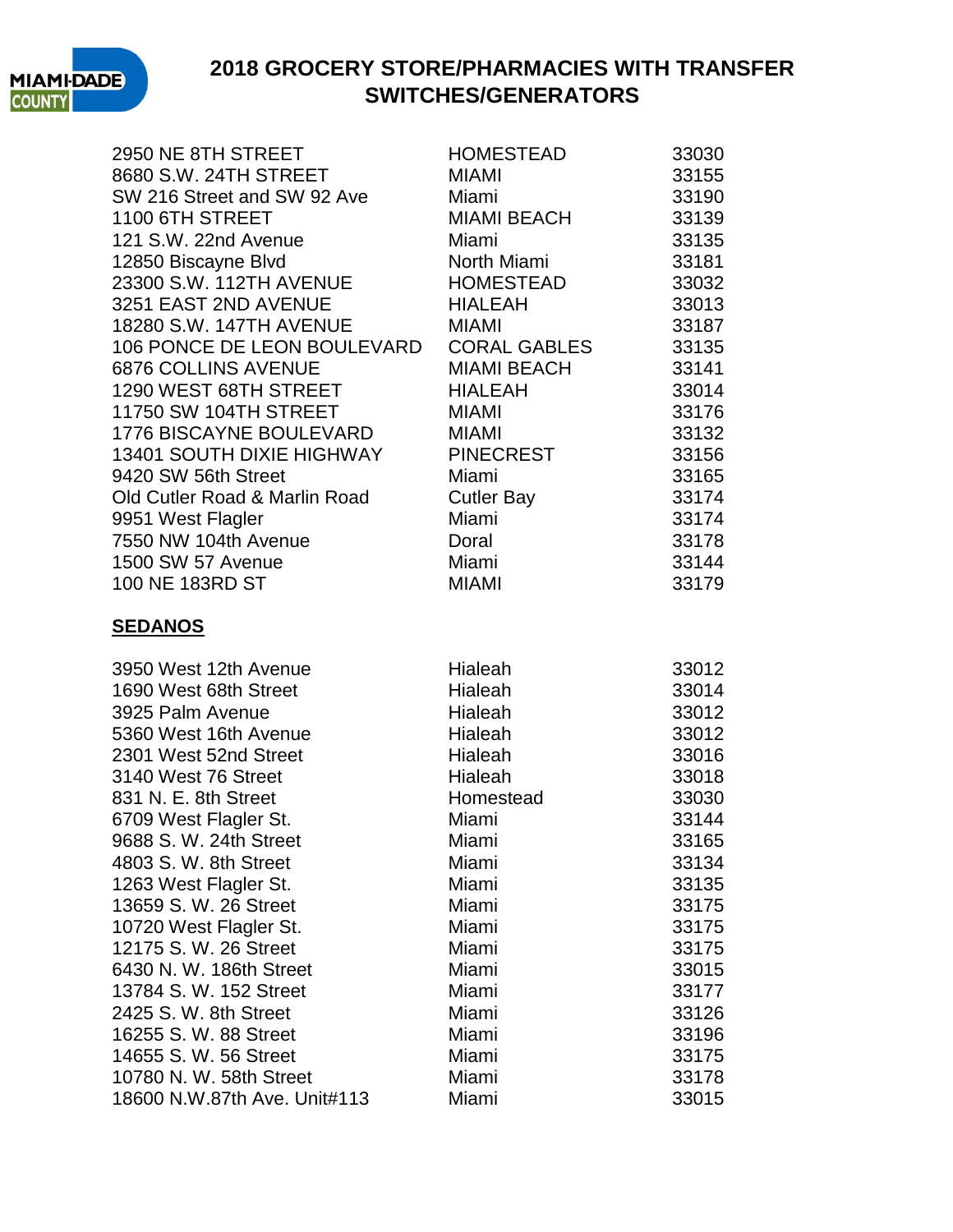

|                                                                        | HOMESTEAD                   | 33030 |
|------------------------------------------------------------------------|-----------------------------|-------|
| 2000 INCOLLI OTREET<br>8680 S.W. 24TH STREET<br>SW 216 Street          | <b>MIAMI</b>                | 33155 |
| SW 216 Street and SW 92 Ave                                            | Miami                       | 33190 |
| 1100 6TH STREET                                                        | MIAMI BEACH                 | 33139 |
| 121 S.W. 22nd Avenue                                                   | Miami                       | 33135 |
| 12850 Biscayne Blvd                                                    | North Miami                 | 33181 |
| 12850 Biscayne Blvd<br>23300 S.W. 112TH AVENUE<br>3251 EAST 2ND AVENUE | HOMESTEAD                   | 33032 |
|                                                                        | <b>HIALEAH</b>              | 33013 |
| 18280 S.W. 147TH AVENUE                                                | <b>MIAMI</b>                | 33187 |
| 106 PONCE DE LEON BOULEVARD                                            | CORAL GABLES<br>MIAMI BEACH | 33135 |
| 6876 COLLINS AVENUE                                                    |                             | 33141 |
| 1290 WEST 68TH STREET                                                  | <b>HIALEAH</b>              | 33014 |
| 11750 SW 104TH STREET                                                  | <b>MIAMI</b>                | 33176 |
| 1776 BISCAYNE BOULEVARD                                                | MIAMI                       | 33132 |
| 13401 SOUTH DIXIE HIGHWAY                                              | <b>PINECREST</b>            | 33156 |
| 9420 SW 56th Street                                                    | Miami                       | 33165 |
| Old Cutler Road & Marlin Road                                          | Cutler Bay                  | 33174 |
| 9951 West Flagler                                                      | Miami                       | 33174 |
| 7550 NW 104th Avenue                                                   | Doral                       | 33178 |
| 1500 SW 57 Avenue                                                      | Miami                       | 33144 |
| 100 NE 183RD ST                                                        | <b>MIAMI</b>                | 33179 |
| <b>SEDANOS</b>                                                         |                             |       |
| 3950 West 12th Avenue                                                  | Hialeah                     | 33012 |
| 1690 West 68th Street                                                  | Hialeah                     | 33014 |
| 3925 Palm Avenue                                                       | Hialeah                     | 33012 |
| 5360 West 16th Avenue                                                  | Hialeah                     | 33012 |
| 2301 West 52nd Street                                                  | Hialeah                     | 33016 |
| 3140 West 76 Street                                                    | Hialeah                     | 33018 |
| 831 N. E. 8th Street                                                   | Homestead                   | 33030 |
| 6709 West Flagler St.                                                  | Miami                       | 33144 |
| 9688 S. W. 24th Street                                                 | Miami                       | 33165 |
| 4803 S. W. 8th Street                                                  | Miami                       | 33134 |
| 1263 West Flagler St.                                                  | Miami                       | 33135 |
| 13659 S. W. 26 Street                                                  | Miami                       | 33175 |
| 10720 West Flagler St.                                                 | Miami                       | 33175 |
| 12175 S. W. 26 Street                                                  | Miami                       | 33175 |
| 6430 N. W. 186th Street                                                | Miami                       | 33015 |
| 13784 S. W. 152 Street                                                 | Miami                       | 33177 |
| 2425 S. W. 8th Street                                                  | Miami                       | 33126 |
| 16255 S. W. 88 Street                                                  | Miami                       | 33196 |
| 14655 S. W. 56 Street                                                  | Miami                       | 33175 |
| 10780 N. W. 58th Street                                                | Miami                       | 33178 |
| 18600 N.W.87th Ave. Unit#113                                           | Miami                       | 33015 |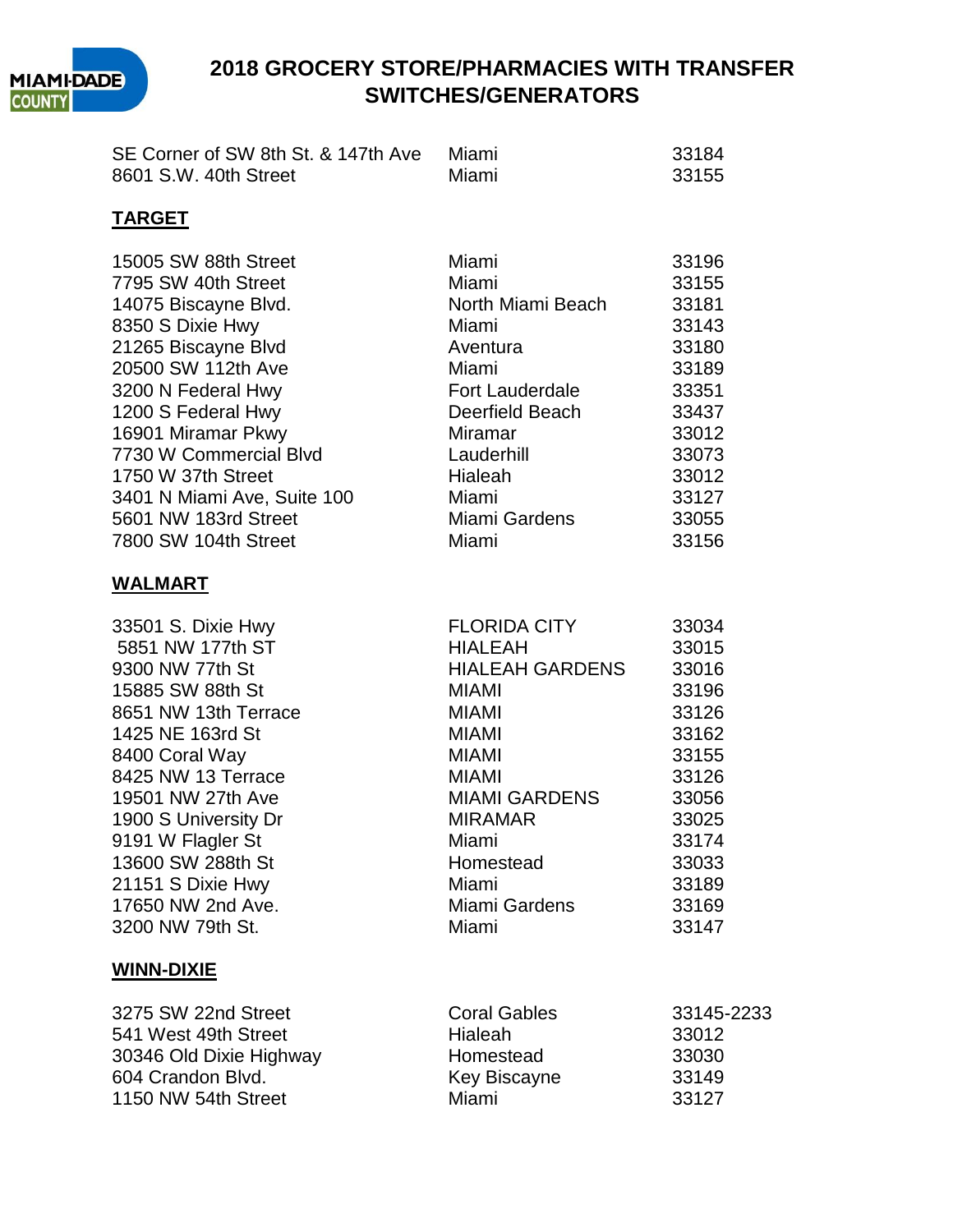

| SE Corner of SW 8th St. & 147th Ave | Miami | -33184 |
|-------------------------------------|-------|--------|
| 8601 S.W. 40th Street               | Miami | -33155 |

#### **TARGET**

| 15005 SW 88th Street<br>7795 SW 40th Street<br>14075 Biscayne Blvd.<br>8350 S Dixie Hwy<br>21265 Biscayne Blvd<br>20500 SW 112th Ave | Miami<br>Miami<br>North Miami Beach<br>Miami<br>Aventura<br>Miami | 33196<br>33155<br>33181<br>33143<br>33180<br>33189 |
|--------------------------------------------------------------------------------------------------------------------------------------|-------------------------------------------------------------------|----------------------------------------------------|
| 3200 N Federal Hwy                                                                                                                   | Fort Lauderdale                                                   | 33351                                              |
| 1200 S Federal Hwy                                                                                                                   | Deerfield Beach                                                   | 33437                                              |
| 16901 Miramar Pkwy                                                                                                                   | Miramar                                                           | 33012                                              |
| 7730 W Commercial Blvd                                                                                                               | Lauderhill                                                        | 33073                                              |
| 1750 W 37th Street                                                                                                                   | Hialeah                                                           | 33012                                              |
| 3401 N Miami Ave, Suite 100<br>5601 NW 183rd Street                                                                                  | Miami<br>Miami Gardens                                            | 33127<br>33055                                     |
| 7800 SW 104th Street                                                                                                                 | Miami                                                             | 33156                                              |
| <b>WALMART</b>                                                                                                                       |                                                                   |                                                    |
| 33501 S. Dixie Hwy                                                                                                                   | <b>FLORIDA CITY</b>                                               | 33034                                              |
| 5851 NW 177th ST                                                                                                                     | <b>HIALEAH</b>                                                    | 33015                                              |
| 9300 NW 77th St                                                                                                                      | <b>HIALEAH GARDENS</b>                                            | 33016                                              |
| 15885 SW 88th St                                                                                                                     | <b>MIAMI</b>                                                      | 33196                                              |
| 8651 NW 13th Terrace                                                                                                                 | <b>MIAMI</b>                                                      | 33126                                              |
| 1425 NE 163rd St                                                                                                                     | <b>MIAMI</b>                                                      | 33162                                              |
| 8400 Coral Way                                                                                                                       | <b>MIAMI</b>                                                      | 33155                                              |
| 8425 NW 13 Terrace                                                                                                                   | <b>MIAMI</b>                                                      | 33126                                              |
| 19501 NW 27th Ave                                                                                                                    | MIAMI GARDENS                                                     | 33056                                              |
| 1900 S University Dr                                                                                                                 | <b>MIRAMAR</b>                                                    | 33025                                              |
| 9191 W Flagler St                                                                                                                    | Miami                                                             | 33174                                              |
| 13600 SW 288th St                                                                                                                    | Homestead                                                         | 33033                                              |
| 21151 S Dixie Hwy                                                                                                                    | Miami                                                             | 33189                                              |
| 17650 NW 2nd Ave.                                                                                                                    | Miami Gardens                                                     | 33169                                              |
| 3200 NW 79th St.                                                                                                                     | Miami                                                             | 33147                                              |

#### **WINN-DIXIE**

| 3275 SW 22nd Street     | <b>Coral Gables</b> | 33145-2233 |
|-------------------------|---------------------|------------|
| 541 West 49th Street    | Hialeah             | 33012      |
| 30346 Old Dixie Highway | Homestead           | 33030      |
| 604 Crandon Blvd.       | Key Biscayne        | 33149      |
| 1150 NW 54th Street     | Miami               | 33127      |
|                         |                     |            |